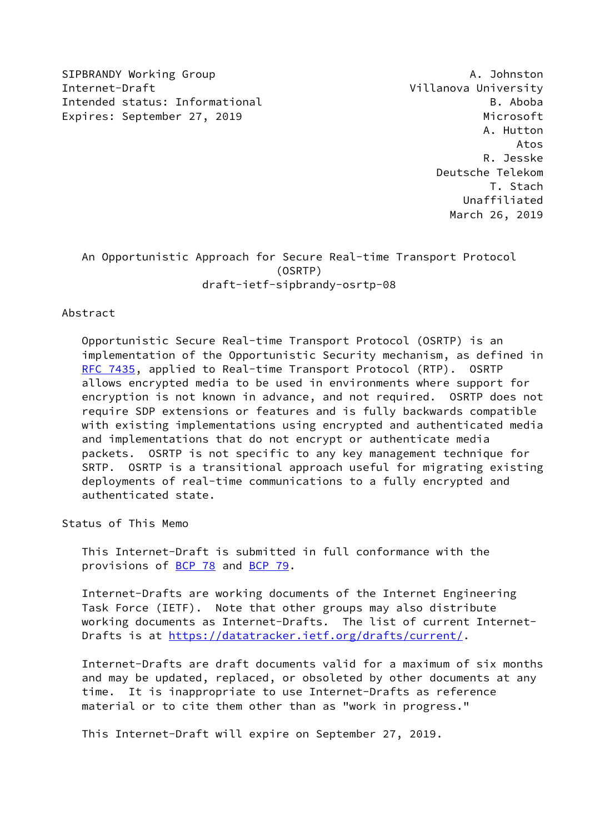SIPBRANDY Working Group And the Communication of the Communication of the Communication of the Communication of the Communication of the Communication of the Communication of the Communication of the Communication of the C Internet-Draft Villanova University Intended status: Informational B. Aboba Expires: September 27, 2019 Microsoft

 A. Hutton Atos R. Jesske Deutsche Telekom T. Stach Unaffiliated March 26, 2019

# An Opportunistic Approach for Secure Real-time Transport Protocol (OSRTP) draft-ietf-sipbrandy-osrtp-08

### Abstract

 Opportunistic Secure Real-time Transport Protocol (OSRTP) is an implementation of the Opportunistic Security mechanism, as defined in [RFC 7435](https://datatracker.ietf.org/doc/pdf/rfc7435), applied to Real-time Transport Protocol (RTP). OSRTP allows encrypted media to be used in environments where support for encryption is not known in advance, and not required. OSRTP does not require SDP extensions or features and is fully backwards compatible with existing implementations using encrypted and authenticated media and implementations that do not encrypt or authenticate media packets. OSRTP is not specific to any key management technique for SRTP. OSRTP is a transitional approach useful for migrating existing deployments of real-time communications to a fully encrypted and authenticated state.

Status of This Memo

 This Internet-Draft is submitted in full conformance with the provisions of [BCP 78](https://datatracker.ietf.org/doc/pdf/bcp78) and [BCP 79](https://datatracker.ietf.org/doc/pdf/bcp79).

 Internet-Drafts are working documents of the Internet Engineering Task Force (IETF). Note that other groups may also distribute working documents as Internet-Drafts. The list of current Internet- Drafts is at<https://datatracker.ietf.org/drafts/current/>.

 Internet-Drafts are draft documents valid for a maximum of six months and may be updated, replaced, or obsoleted by other documents at any time. It is inappropriate to use Internet-Drafts as reference material or to cite them other than as "work in progress."

This Internet-Draft will expire on September 27, 2019.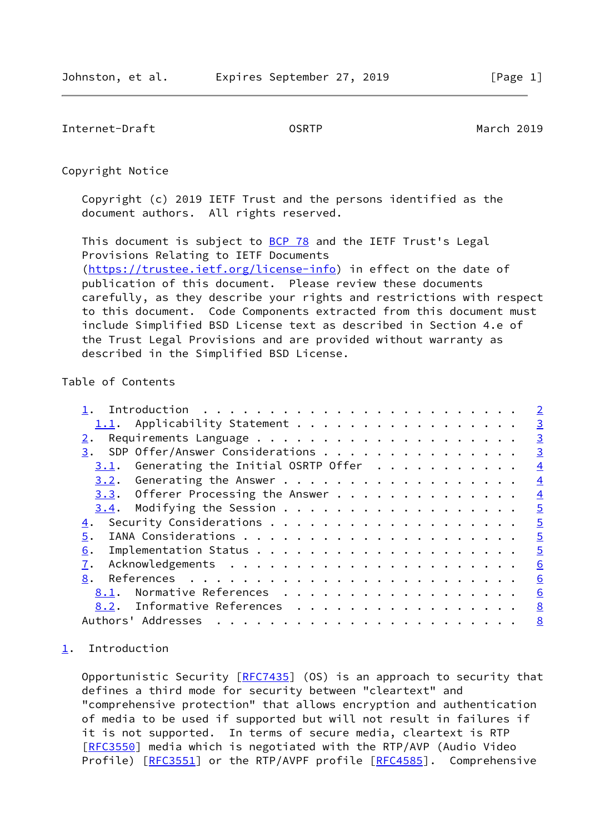<span id="page-1-1"></span>Internet-Draft OSRTP March 2019

Copyright Notice

 Copyright (c) 2019 IETF Trust and the persons identified as the document authors. All rights reserved.

This document is subject to **[BCP 78](https://datatracker.ietf.org/doc/pdf/bcp78)** and the IETF Trust's Legal Provisions Relating to IETF Documents [\(https://trustee.ietf.org/license-info](https://trustee.ietf.org/license-info)) in effect on the date of publication of this document. Please review these documents carefully, as they describe your rights and restrictions with respect to this document. Code Components extracted from this document must include Simplified BSD License text as described in Section 4.e of the Trust Legal Provisions and are provided without warranty as described in the Simplified BSD License.

## Table of Contents

|                                                                                                                                                                                                                                                                                                                                                                                                                                                                                                             | $\overline{2}$ |
|-------------------------------------------------------------------------------------------------------------------------------------------------------------------------------------------------------------------------------------------------------------------------------------------------------------------------------------------------------------------------------------------------------------------------------------------------------------------------------------------------------------|----------------|
| 1.1. Applicability Statement                                                                                                                                                                                                                                                                                                                                                                                                                                                                                | $\overline{3}$ |
|                                                                                                                                                                                                                                                                                                                                                                                                                                                                                                             | $\overline{3}$ |
| 3. SDP Offer/Answer Considerations                                                                                                                                                                                                                                                                                                                                                                                                                                                                          | $\overline{3}$ |
| Generating the Initial OSRTP Offer<br>3.1.                                                                                                                                                                                                                                                                                                                                                                                                                                                                  | $\overline{4}$ |
|                                                                                                                                                                                                                                                                                                                                                                                                                                                                                                             | $\overline{4}$ |
| 3.3. Offerer Processing the Answer                                                                                                                                                                                                                                                                                                                                                                                                                                                                          | $\overline{4}$ |
|                                                                                                                                                                                                                                                                                                                                                                                                                                                                                                             | $\overline{5}$ |
|                                                                                                                                                                                                                                                                                                                                                                                                                                                                                                             | $\overline{5}$ |
| 5.                                                                                                                                                                                                                                                                                                                                                                                                                                                                                                          | $\overline{5}$ |
| 6.                                                                                                                                                                                                                                                                                                                                                                                                                                                                                                          | $\overline{5}$ |
| 7.                                                                                                                                                                                                                                                                                                                                                                                                                                                                                                          | 6              |
| 8.                                                                                                                                                                                                                                                                                                                                                                                                                                                                                                          | 6              |
| Normative References<br>8.1.                                                                                                                                                                                                                                                                                                                                                                                                                                                                                | 6              |
| 8.2. Informative References                                                                                                                                                                                                                                                                                                                                                                                                                                                                                 | 8              |
| Authors' Addresses<br>$\mathbf{a} \cdot \mathbf{a} \cdot \mathbf{a} \cdot \mathbf{a} \cdot \mathbf{a} \cdot \mathbf{a} \cdot \mathbf{a} \cdot \mathbf{a} \cdot \mathbf{a} \cdot \mathbf{a} \cdot \mathbf{a} \cdot \mathbf{a} \cdot \mathbf{a} \cdot \mathbf{a} \cdot \mathbf{a} \cdot \mathbf{a} \cdot \mathbf{a} \cdot \mathbf{a} \cdot \mathbf{a} \cdot \mathbf{a} \cdot \mathbf{a} \cdot \mathbf{a} \cdot \mathbf{a} \cdot \mathbf{a} \cdot \mathbf{a} \cdot \mathbf{a} \cdot \mathbf{a} \cdot \mathbf{$ | 8              |
|                                                                                                                                                                                                                                                                                                                                                                                                                                                                                                             |                |

## <span id="page-1-0"></span>[1](#page-1-0). Introduction

Opportunistic Security [\[RFC7435](https://datatracker.ietf.org/doc/pdf/rfc7435)] (OS) is an approach to security that defines a third mode for security between "cleartext" and "comprehensive protection" that allows encryption and authentication of media to be used if supported but will not result in failures if it is not supported. In terms of secure media, cleartext is RTP [\[RFC3550](https://datatracker.ietf.org/doc/pdf/rfc3550)] media which is negotiated with the RTP/AVP (Audio Video Profile) [\[RFC3551](https://datatracker.ietf.org/doc/pdf/rfc3551)] or the RTP/AVPF profile [[RFC4585\]](https://datatracker.ietf.org/doc/pdf/rfc4585). Comprehensive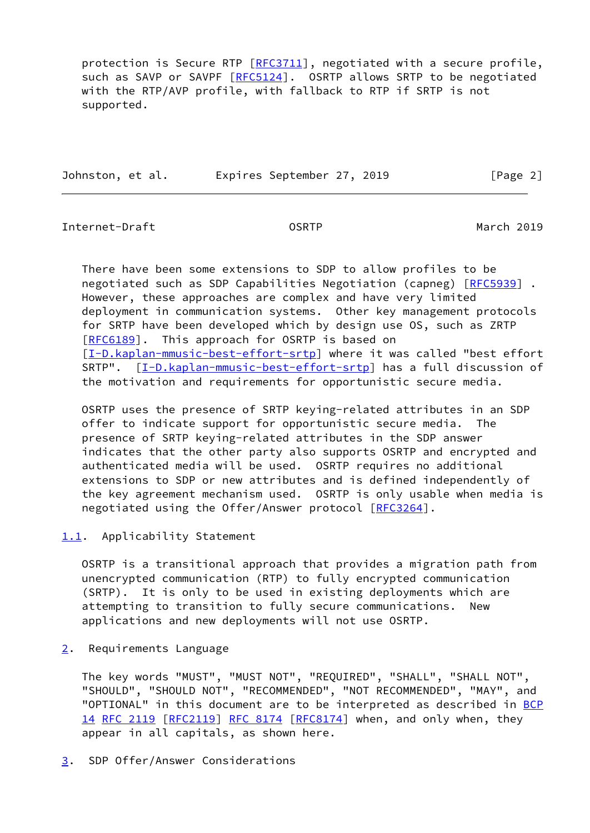protection is Secure RTP [\[RFC3711](https://datatracker.ietf.org/doc/pdf/rfc3711)], negotiated with a secure profile, such as SAVP or SAVPF [[RFC5124](https://datatracker.ietf.org/doc/pdf/rfc5124)]. OSRTP allows SRTP to be negotiated with the RTP/AVP profile, with fallback to RTP if SRTP is not supported.

| Johnston, et al. |  |  | Expires September 27, 2019 |  |  |
|------------------|--|--|----------------------------|--|--|
|                  |  |  |                            |  |  |

 $\lceil \text{Page 2} \rceil$ 

<span id="page-2-1"></span>Internet-Draft OSRTP March 2019

 There have been some extensions to SDP to allow profiles to be negotiated such as SDP Capabilities Negotiation (capneg) [\[RFC5939](https://datatracker.ietf.org/doc/pdf/rfc5939)] . However, these approaches are complex and have very limited deployment in communication systems. Other key management protocols for SRTP have been developed which by design use OS, such as ZRTP [\[RFC6189](https://datatracker.ietf.org/doc/pdf/rfc6189)]. This approach for OSRTP is based on [\[I-D.kaplan-mmusic-best-effort-srtp\]](#page-8-1) where it was called "best effort SRTP". [\[I-D.kaplan-mmusic-best-effort-srtp\]](#page-8-1) has a full discussion of the motivation and requirements for opportunistic secure media.

 OSRTP uses the presence of SRTP keying-related attributes in an SDP offer to indicate support for opportunistic secure media. The presence of SRTP keying-related attributes in the SDP answer indicates that the other party also supports OSRTP and encrypted and authenticated media will be used. OSRTP requires no additional extensions to SDP or new attributes and is defined independently of the key agreement mechanism used. OSRTP is only usable when media is negotiated using the Offer/Answer protocol [[RFC3264\]](https://datatracker.ietf.org/doc/pdf/rfc3264).

<span id="page-2-0"></span>[1.1](#page-2-0). Applicability Statement

 OSRTP is a transitional approach that provides a migration path from unencrypted communication (RTP) to fully encrypted communication (SRTP). It is only to be used in existing deployments which are attempting to transition to fully secure communications. New applications and new deployments will not use OSRTP.

<span id="page-2-2"></span>[2](#page-2-2). Requirements Language

 The key words "MUST", "MUST NOT", "REQUIRED", "SHALL", "SHALL NOT", "SHOULD", "SHOULD NOT", "RECOMMENDED", "NOT RECOMMENDED", "MAY", and "OPTIONAL" in this document are to be interpreted as described in [BCP](https://datatracker.ietf.org/doc/pdf/bcp14) [14](https://datatracker.ietf.org/doc/pdf/bcp14) [RFC 2119 \[RFC2119](https://datatracker.ietf.org/doc/pdf/rfc2119)] [RFC 8174](https://datatracker.ietf.org/doc/pdf/rfc8174) [\[RFC8174](https://datatracker.ietf.org/doc/pdf/rfc8174)] when, and only when, they appear in all capitals, as shown here.

<span id="page-2-3"></span>[3](#page-2-3). SDP Offer/Answer Considerations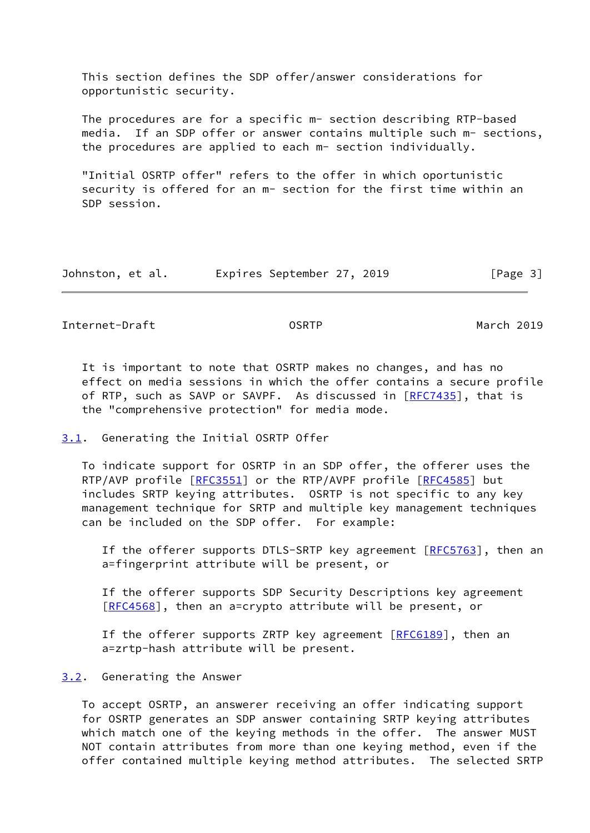This section defines the SDP offer/answer considerations for opportunistic security.

 The procedures are for a specific m- section describing RTP-based media. If an SDP offer or answer contains multiple such m- sections, the procedures are applied to each m- section individually.

 "Initial OSRTP offer" refers to the offer in which oportunistic security is offered for an m- section for the first time within an SDP session.

| Johnston, et al. | Expires September 27, 2019 | [Page 3] |
|------------------|----------------------------|----------|
|------------------|----------------------------|----------|

<span id="page-3-1"></span>Internet-Draft OSRTP March 2019

 It is important to note that OSRTP makes no changes, and has no effect on media sessions in which the offer contains a secure profile of RTP, such as SAVP or SAVPF. As discussed in [\[RFC7435](https://datatracker.ietf.org/doc/pdf/rfc7435)], that is the "comprehensive protection" for media mode.

### <span id="page-3-0"></span>[3.1](#page-3-0). Generating the Initial OSRTP Offer

 To indicate support for OSRTP in an SDP offer, the offerer uses the RTP/AVP profile [\[RFC3551](https://datatracker.ietf.org/doc/pdf/rfc3551)] or the RTP/AVPF profile [[RFC4585](https://datatracker.ietf.org/doc/pdf/rfc4585)] but includes SRTP keying attributes. OSRTP is not specific to any key management technique for SRTP and multiple key management techniques can be included on the SDP offer. For example:

If the offerer supports DTLS-SRTP key agreement  $[RECS763]$ , then an a=fingerprint attribute will be present, or

 If the offerer supports SDP Security Descriptions key agreement [[RFC4568\]](https://datatracker.ietf.org/doc/pdf/rfc4568), then an a=crypto attribute will be present, or

If the offerer supports ZRTP key agreement [[RFC6189](https://datatracker.ietf.org/doc/pdf/rfc6189)], then an a=zrtp-hash attribute will be present.

### <span id="page-3-2"></span>[3.2](#page-3-2). Generating the Answer

 To accept OSRTP, an answerer receiving an offer indicating support for OSRTP generates an SDP answer containing SRTP keying attributes which match one of the keying methods in the offer. The answer MUST NOT contain attributes from more than one keying method, even if the offer contained multiple keying method attributes. The selected SRTP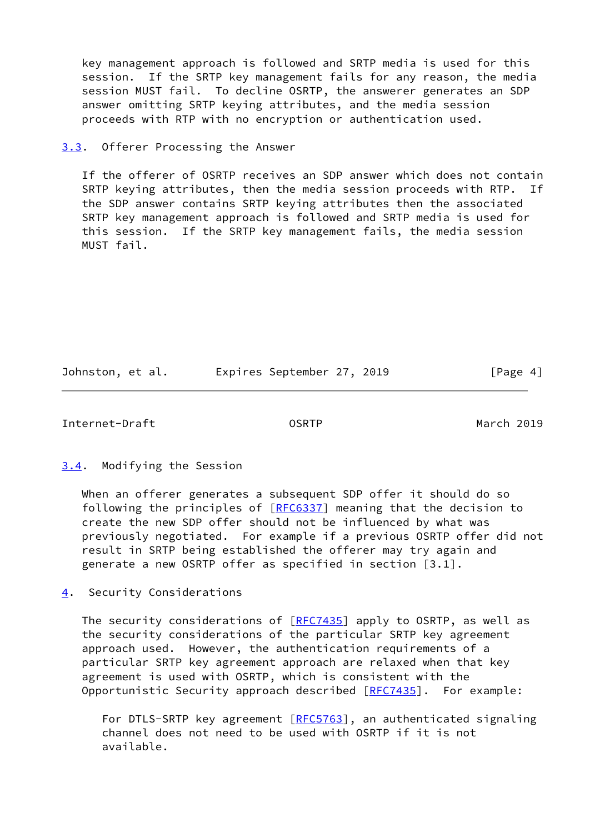key management approach is followed and SRTP media is used for this session. If the SRTP key management fails for any reason, the media session MUST fail. To decline OSRTP, the answerer generates an SDP answer omitting SRTP keying attributes, and the media session proceeds with RTP with no encryption or authentication used.

<span id="page-4-0"></span>[3.3](#page-4-0). Offerer Processing the Answer

 If the offerer of OSRTP receives an SDP answer which does not contain SRTP keying attributes, then the media session proceeds with RTP. If the SDP answer contains SRTP keying attributes then the associated SRTP key management approach is followed and SRTP media is used for this session. If the SRTP key management fails, the media session MUST fail.

Johnston, et al. 
Expires September 27, 2019

[Page 4]

<span id="page-4-2"></span>Internet-Draft OSRTP March 2019

<span id="page-4-1"></span>[3.4](#page-4-1). Modifying the Session

 When an offerer generates a subsequent SDP offer it should do so following the principles of [\[RFC6337](https://datatracker.ietf.org/doc/pdf/rfc6337)] meaning that the decision to create the new SDP offer should not be influenced by what was previously negotiated. For example if a previous OSRTP offer did not result in SRTP being established the offerer may try again and generate a new OSRTP offer as specified in section [3.1].

<span id="page-4-3"></span>[4](#page-4-3). Security Considerations

The security considerations of [\[RFC7435](https://datatracker.ietf.org/doc/pdf/rfc7435)] apply to OSRTP, as well as the security considerations of the particular SRTP key agreement approach used. However, the authentication requirements of a particular SRTP key agreement approach are relaxed when that key agreement is used with OSRTP, which is consistent with the Opportunistic Security approach described [[RFC7435](https://datatracker.ietf.org/doc/pdf/rfc7435)]. For example:

For DTLS-SRTP key agreement [\[RFC5763](https://datatracker.ietf.org/doc/pdf/rfc5763)], an authenticated signaling channel does not need to be used with OSRTP if it is not available.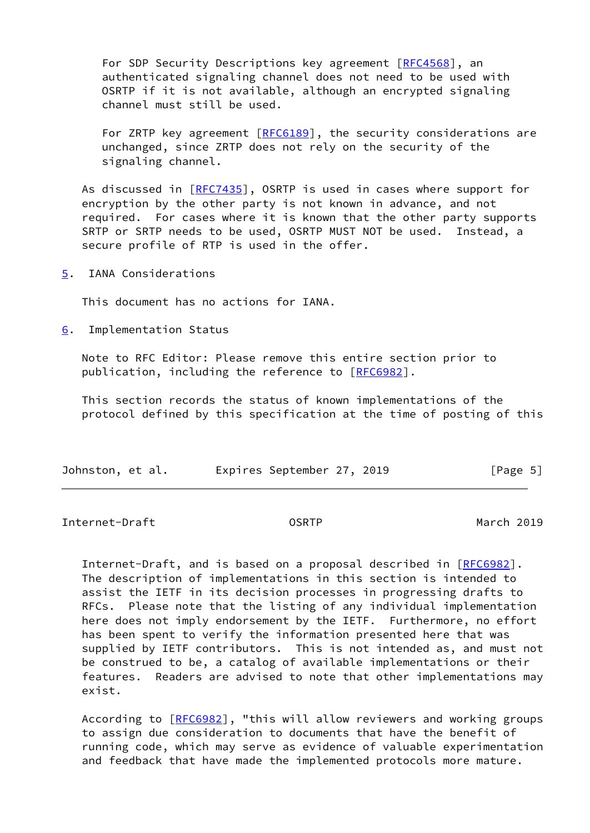For SDP Security Descriptions key agreement [\[RFC4568](https://datatracker.ietf.org/doc/pdf/rfc4568)], an authenticated signaling channel does not need to be used with OSRTP if it is not available, although an encrypted signaling channel must still be used.

For ZRTP key agreement [[RFC6189](https://datatracker.ietf.org/doc/pdf/rfc6189)], the security considerations are unchanged, since ZRTP does not rely on the security of the signaling channel.

As discussed in [\[RFC7435](https://datatracker.ietf.org/doc/pdf/rfc7435)], OSRTP is used in cases where support for encryption by the other party is not known in advance, and not required. For cases where it is known that the other party supports SRTP or SRTP needs to be used, OSRTP MUST NOT be used. Instead, a secure profile of RTP is used in the offer.

<span id="page-5-0"></span>[5](#page-5-0). IANA Considerations

This document has no actions for IANA.

<span id="page-5-1"></span>[6](#page-5-1). Implementation Status

 Note to RFC Editor: Please remove this entire section prior to publication, including the reference to [\[RFC6982](https://datatracker.ietf.org/doc/pdf/rfc6982)].

 This section records the status of known implementations of the protocol defined by this specification at the time of posting of this

| Johnston, et al. |  | Expires September 27, 2019 |  |  |  | [Page 5] |  |
|------------------|--|----------------------------|--|--|--|----------|--|
|------------------|--|----------------------------|--|--|--|----------|--|

<span id="page-5-2"></span>Internet-Draft OSRTP March 2019

Internet-Draft, and is based on a proposal described in [\[RFC6982](https://datatracker.ietf.org/doc/pdf/rfc6982)]. The description of implementations in this section is intended to assist the IETF in its decision processes in progressing drafts to RFCs. Please note that the listing of any individual implementation here does not imply endorsement by the IETF. Furthermore, no effort has been spent to verify the information presented here that was supplied by IETF contributors. This is not intended as, and must not be construed to be, a catalog of available implementations or their features. Readers are advised to note that other implementations may exist.

 According to [\[RFC6982](https://datatracker.ietf.org/doc/pdf/rfc6982)], "this will allow reviewers and working groups to assign due consideration to documents that have the benefit of running code, which may serve as evidence of valuable experimentation and feedback that have made the implemented protocols more mature.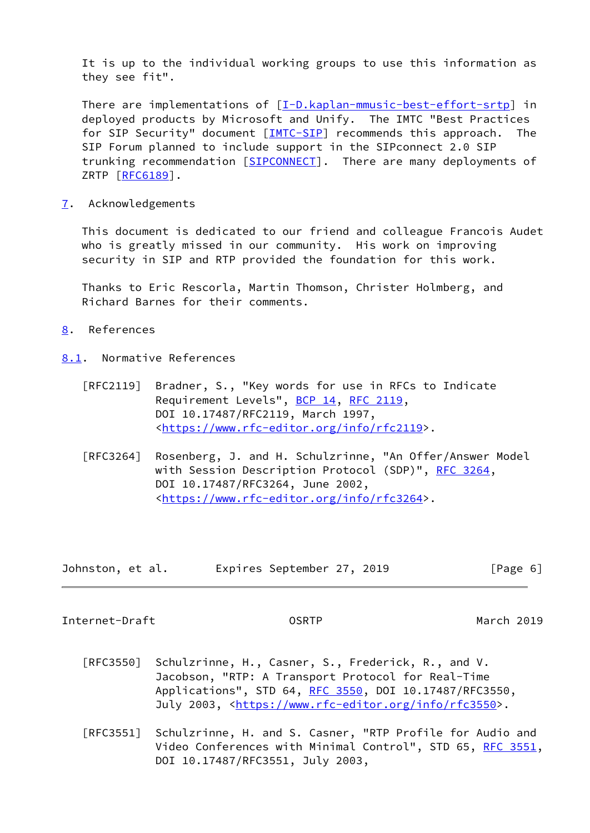It is up to the individual working groups to use this information as they see fit".

There are implementations of [\[I-D.kaplan-mmusic-best-effort-srtp\]](#page-8-1) in deployed products by Microsoft and Unify. The IMTC "Best Practices for SIP Security" document [[IMTC-SIP\]](#page-8-2) recommends this approach. The SIP Forum planned to include support in the SIPconnect 2.0 SIP trunking recommendation [\[SIPCONNECT\]](#page-8-3). There are many deployments of ZRTP [\[RFC6189](https://datatracker.ietf.org/doc/pdf/rfc6189)].

<span id="page-6-0"></span>[7](#page-6-0). Acknowledgements

 This document is dedicated to our friend and colleague Francois Audet who is greatly missed in our community. His work on improving security in SIP and RTP provided the foundation for this work.

 Thanks to Eric Rescorla, Martin Thomson, Christer Holmberg, and Richard Barnes for their comments.

- <span id="page-6-1"></span>[8](#page-6-1). References
- <span id="page-6-2"></span>[8.1](#page-6-2). Normative References
	- [RFC2119] Bradner, S., "Key words for use in RFCs to Indicate Requirement Levels", [BCP 14](https://datatracker.ietf.org/doc/pdf/bcp14), [RFC 2119](https://datatracker.ietf.org/doc/pdf/rfc2119), DOI 10.17487/RFC2119, March 1997, <[https://www.rfc-editor.org/info/rfc2119>](https://www.rfc-editor.org/info/rfc2119).
	- [RFC3264] Rosenberg, J. and H. Schulzrinne, "An Offer/Answer Model with Session Description Protocol (SDP)", [RFC 3264](https://datatracker.ietf.org/doc/pdf/rfc3264), DOI 10.17487/RFC3264, June 2002, <[https://www.rfc-editor.org/info/rfc3264>](https://www.rfc-editor.org/info/rfc3264).

| Johnston, et al. |  | Expires September 27, 2019 |  |  | [Page 6] |
|------------------|--|----------------------------|--|--|----------|
|------------------|--|----------------------------|--|--|----------|

Internet-Draft OSRTP March 2019

- [RFC3550] Schulzrinne, H., Casner, S., Frederick, R., and V. Jacobson, "RTP: A Transport Protocol for Real-Time Applications", STD 64, [RFC 3550](https://datatracker.ietf.org/doc/pdf/rfc3550), DOI 10.17487/RFC3550, July 2003, <<https://www.rfc-editor.org/info/rfc3550>>.
- [RFC3551] Schulzrinne, H. and S. Casner, "RTP Profile for Audio and Video Conferences with Minimal Control", STD 65, [RFC 3551,](https://datatracker.ietf.org/doc/pdf/rfc3551) DOI 10.17487/RFC3551, July 2003,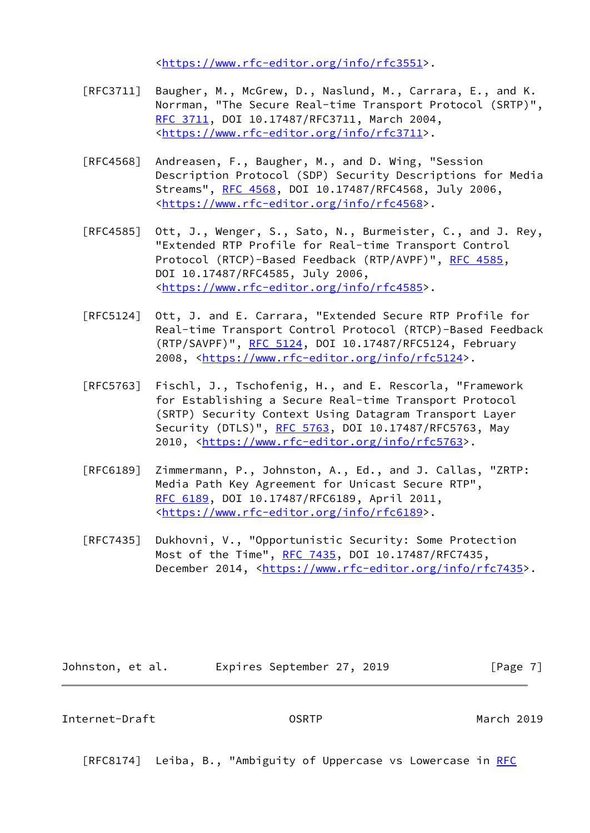<[https://www.rfc-editor.org/info/rfc3551>](https://www.rfc-editor.org/info/rfc3551).

- [RFC3711] Baugher, M., McGrew, D., Naslund, M., Carrara, E., and K. Norrman, "The Secure Real-time Transport Protocol (SRTP)", [RFC 3711,](https://datatracker.ietf.org/doc/pdf/rfc3711) DOI 10.17487/RFC3711, March 2004, <[https://www.rfc-editor.org/info/rfc3711>](https://www.rfc-editor.org/info/rfc3711).
- [RFC4568] Andreasen, F., Baugher, M., and D. Wing, "Session Description Protocol (SDP) Security Descriptions for Media Streams", [RFC 4568](https://datatracker.ietf.org/doc/pdf/rfc4568), DOI 10.17487/RFC4568, July 2006, <[https://www.rfc-editor.org/info/rfc4568>](https://www.rfc-editor.org/info/rfc4568).
- [RFC4585] Ott, J., Wenger, S., Sato, N., Burmeister, C., and J. Rey, "Extended RTP Profile for Real-time Transport Control Protocol (RTCP)-Based Feedback (RTP/AVPF)", [RFC 4585,](https://datatracker.ietf.org/doc/pdf/rfc4585) DOI 10.17487/RFC4585, July 2006, <[https://www.rfc-editor.org/info/rfc4585>](https://www.rfc-editor.org/info/rfc4585).
- [RFC5124] Ott, J. and E. Carrara, "Extended Secure RTP Profile for Real-time Transport Control Protocol (RTCP)-Based Feedback (RTP/SAVPF)", [RFC 5124](https://datatracker.ietf.org/doc/pdf/rfc5124), DOI 10.17487/RFC5124, February 2008, [<https://www.rfc-editor.org/info/rfc5124](https://www.rfc-editor.org/info/rfc5124)>.
- [RFC5763] Fischl, J., Tschofenig, H., and E. Rescorla, "Framework for Establishing a Secure Real-time Transport Protocol (SRTP) Security Context Using Datagram Transport Layer Security (DTLS)", [RFC 5763](https://datatracker.ietf.org/doc/pdf/rfc5763), DOI 10.17487/RFC5763, May 2010, [<https://www.rfc-editor.org/info/rfc5763](https://www.rfc-editor.org/info/rfc5763)>.
- [RFC6189] Zimmermann, P., Johnston, A., Ed., and J. Callas, "ZRTP: Media Path Key Agreement for Unicast Secure RTP", [RFC 6189,](https://datatracker.ietf.org/doc/pdf/rfc6189) DOI 10.17487/RFC6189, April 2011, <[https://www.rfc-editor.org/info/rfc6189>](https://www.rfc-editor.org/info/rfc6189).
- [RFC7435] Dukhovni, V., "Opportunistic Security: Some Protection Most of the Time", [RFC 7435](https://datatracker.ietf.org/doc/pdf/rfc7435), DOI 10.17487/RFC7435, December 2014, <<https://www.rfc-editor.org/info/rfc7435>>.

Johnston, et al. **Expires September 27, 2019**[Page 7]

<span id="page-7-0"></span>Internet-Draft OSRTP March 2019

[RFC8174] Leiba, B., "Ambiguity of Uppercase vs Lowercase in [RFC](https://datatracker.ietf.org/doc/pdf/rfc2119)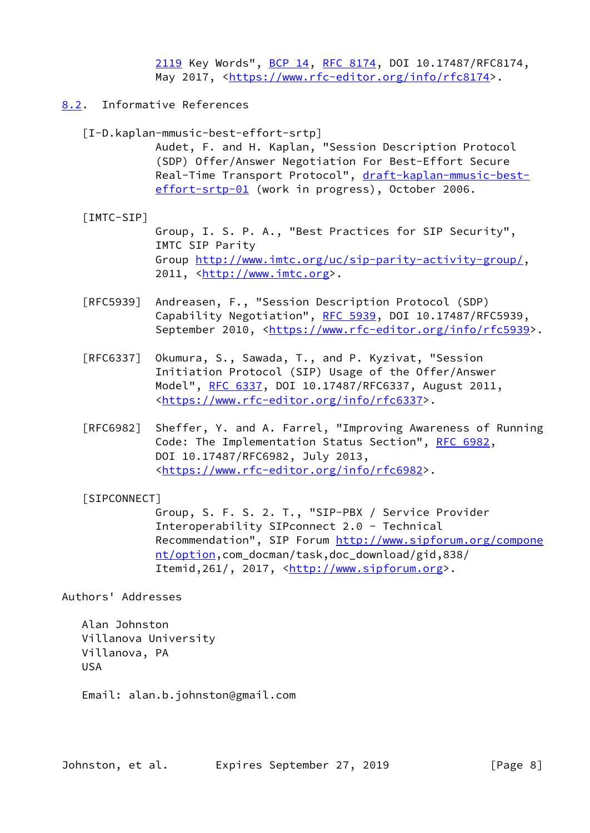[2119](https://datatracker.ietf.org/doc/pdf/rfc2119) Key Words", [BCP 14](https://datatracker.ietf.org/doc/pdf/bcp14), [RFC 8174,](https://datatracker.ietf.org/doc/pdf/rfc8174) DOI 10.17487/RFC8174, May 2017, [<https://www.rfc-editor.org/info/rfc8174](https://www.rfc-editor.org/info/rfc8174)>.

- <span id="page-8-2"></span><span id="page-8-1"></span><span id="page-8-0"></span>[8.2](#page-8-0). Informative References
	- [I-D.kaplan-mmusic-best-effort-srtp] Audet, F. and H. Kaplan, "Session Description Protocol (SDP) Offer/Answer Negotiation For Best-Effort Secure Real-Time Transport Protocol", [draft-kaplan-mmusic-best](https://datatracker.ietf.org/doc/pdf/draft-kaplan-mmusic-best-effort-srtp-01) [effort-srtp-01](https://datatracker.ietf.org/doc/pdf/draft-kaplan-mmusic-best-effort-srtp-01) (work in progress), October 2006.
	- [IMTC-SIP] Group, I. S. P. A., "Best Practices for SIP Security", IMTC SIP Parity Group<http://www.imtc.org/uc/sip-parity-activity-group/>, 2011, [<http://www.imtc.org](http://www.imtc.org)>.
	- [RFC5939] Andreasen, F., "Session Description Protocol (SDP) Capability Negotiation", [RFC 5939,](https://datatracker.ietf.org/doc/pdf/rfc5939) DOI 10.17487/RFC5939, September 2010, <[https://www.rfc-editor.org/info/rfc5939>](https://www.rfc-editor.org/info/rfc5939).
	- [RFC6337] Okumura, S., Sawada, T., and P. Kyzivat, "Session Initiation Protocol (SIP) Usage of the Offer/Answer Model", [RFC 6337,](https://datatracker.ietf.org/doc/pdf/rfc6337) DOI 10.17487/RFC6337, August 2011, <[https://www.rfc-editor.org/info/rfc6337>](https://www.rfc-editor.org/info/rfc6337).
	- [RFC6982] Sheffer, Y. and A. Farrel, "Improving Awareness of Running Code: The Implementation Status Section", [RFC 6982](https://datatracker.ietf.org/doc/pdf/rfc6982), DOI 10.17487/RFC6982, July 2013, <[https://www.rfc-editor.org/info/rfc6982>](https://www.rfc-editor.org/info/rfc6982).

## <span id="page-8-3"></span>[SIPCONNECT]

 Group, S. F. S. 2. T., "SIP-PBX / Service Provider Interoperability SIPconnect 2.0 - Technical Recommendation", SIP Forum [http://www.sipforum.org/compone](http://www.sipforum.org/component/option) [nt/option,](http://www.sipforum.org/component/option)com\_docman/task,doc\_download/gid,838/ Itemid, 261/, 2017, <<http://www.sipforum.org>>.

#### Authors' Addresses

 Alan Johnston Villanova University Villanova, PA USA

Email: alan.b.johnston@gmail.com

Johnston, et al. 
Expires September 27, 2019

[Page 8]